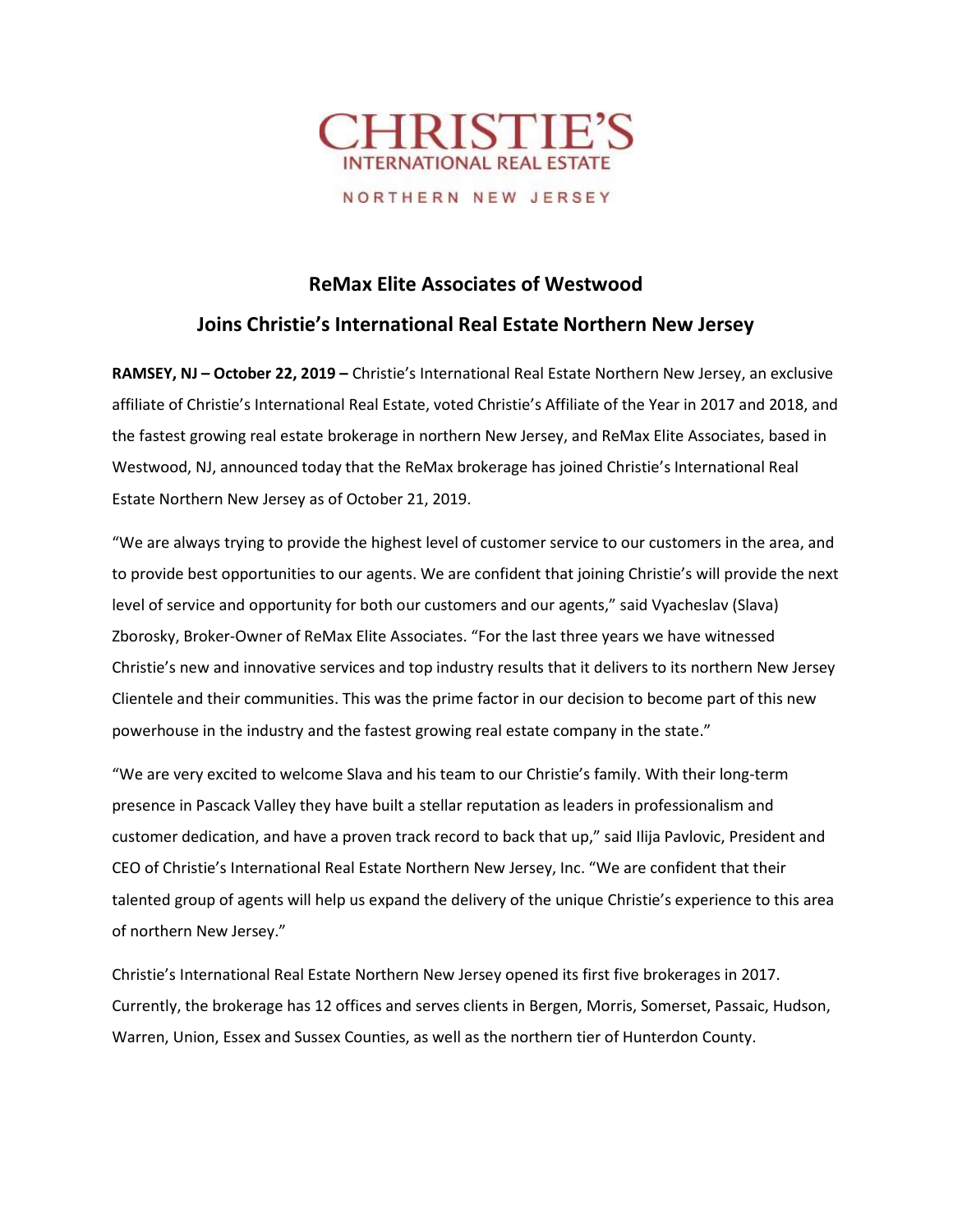

NORTHERN NEW JERSEY

## ReMax Elite Associates of Westwood

## Joins Christie's International Real Estate Northern New Jersey

RAMSEY, NJ - October 22, 2019 - Christie's International Real Estate Northern New Jersey, an exclusive affiliate of Christie's International Real Estate, voted Christie's Affiliate of the Year in 2017 and 2018, and the fastest growing real estate brokerage in northern New Jersey, and ReMax Elite Associates, based in Westwood, NJ, announced today that the ReMax brokerage has joined Christie's International Real Estate Northern New Jersey as of October 21, 2019.

"We are always trying to provide the highest level of customer service to our customers in the area, and to provide best opportunities to our agents. We are confident that joining Christie's will provide the next level of service and opportunity for both our customers and our agents," said Vyacheslav (Slava) Zborosky, Broker-Owner of ReMax Elite Associates. "For the last three years we have witnessed Christie's new and innovative services and top industry results that it delivers to its northern New Jersey Clientele and their communities. This was the prime factor in our decision to become part of this new powerhouse in the industry and the fastest growing real estate company in the state."

"We are very excited to welcome Slava and his team to our Christie's family. With their long-term presence in Pascack Valley they have built a stellar reputation as leaders in professionalism and customer dedication, and have a proven track record to back that up," said Ilija Pavlovic, President and CEO of Christie's International Real Estate Northern New Jersey, Inc. "We are confident that their talented group of agents will help us expand the delivery of the unique Christie's experience to this area of northern New Jersey."

Christie's International Real Estate Northern New Jersey opened its first five brokerages in 2017. Currently, the brokerage has 12 offices and serves clients in Bergen, Morris, Somerset, Passaic, Hudson, Warren, Union, Essex and Sussex Counties, as well as the northern tier of Hunterdon County.